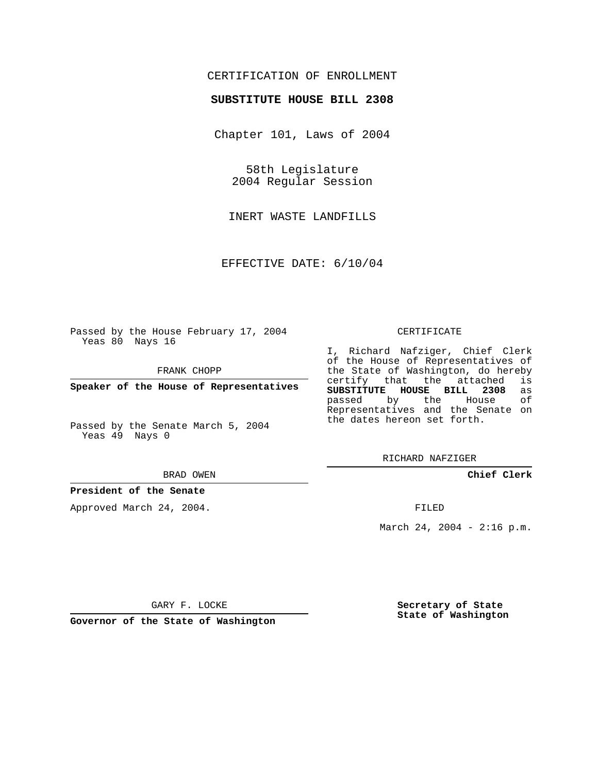## CERTIFICATION OF ENROLLMENT

### **SUBSTITUTE HOUSE BILL 2308**

Chapter 101, Laws of 2004

58th Legislature 2004 Regular Session

INERT WASTE LANDFILLS

EFFECTIVE DATE: 6/10/04

Passed by the House February 17, 2004 Yeas 80 Nays 16

FRANK CHOPP

**Speaker of the House of Representatives**

Passed by the Senate March 5, 2004 Yeas 49 Nays 0

#### BRAD OWEN

## **President of the Senate**

Approved March 24, 2004.

#### CERTIFICATE

I, Richard Nafziger, Chief Clerk of the House of Representatives of the State of Washington, do hereby<br>certify that the attached is certify that the attached **SUBSTITUTE HOUSE BILL 2308** as passed by the House Representatives and the Senate on the dates hereon set forth.

RICHARD NAFZIGER

**Chief Clerk**

FILED

March 24, 2004 -  $2:16$  p.m.

GARY F. LOCKE

**Governor of the State of Washington**

**Secretary of State State of Washington**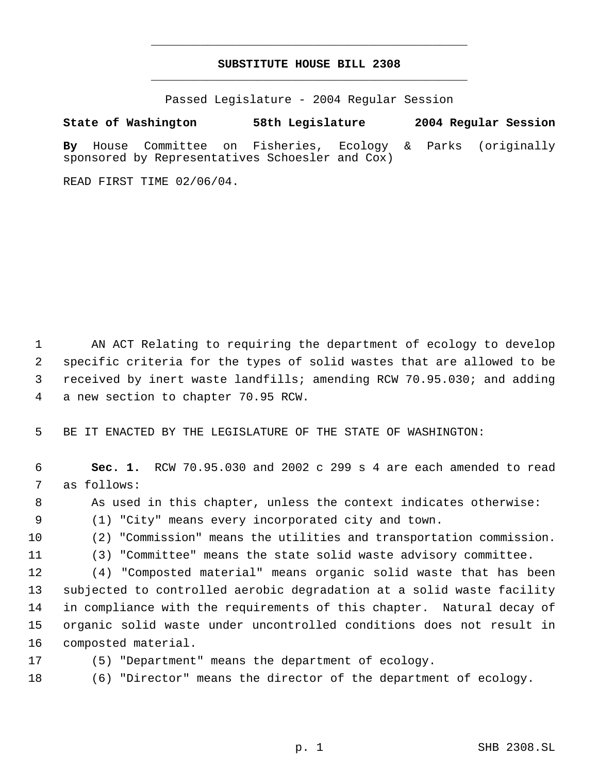## **SUBSTITUTE HOUSE BILL 2308** \_\_\_\_\_\_\_\_\_\_\_\_\_\_\_\_\_\_\_\_\_\_\_\_\_\_\_\_\_\_\_\_\_\_\_\_\_\_\_\_\_\_\_\_\_

\_\_\_\_\_\_\_\_\_\_\_\_\_\_\_\_\_\_\_\_\_\_\_\_\_\_\_\_\_\_\_\_\_\_\_\_\_\_\_\_\_\_\_\_\_

Passed Legislature - 2004 Regular Session

# **State of Washington 58th Legislature 2004 Regular Session By** House Committee on Fisheries, Ecology & Parks (originally

READ FIRST TIME 02/06/04.

sponsored by Representatives Schoesler and Cox)

 AN ACT Relating to requiring the department of ecology to develop specific criteria for the types of solid wastes that are allowed to be received by inert waste landfills; amending RCW 70.95.030; and adding a new section to chapter 70.95 RCW.

BE IT ENACTED BY THE LEGISLATURE OF THE STATE OF WASHINGTON:

 **Sec. 1.** RCW 70.95.030 and 2002 c 299 s 4 are each amended to read as follows:

As used in this chapter, unless the context indicates otherwise:

(1) "City" means every incorporated city and town.

(2) "Commission" means the utilities and transportation commission.

(3) "Committee" means the state solid waste advisory committee.

 (4) "Composted material" means organic solid waste that has been subjected to controlled aerobic degradation at a solid waste facility in compliance with the requirements of this chapter. Natural decay of organic solid waste under uncontrolled conditions does not result in composted material.

(5) "Department" means the department of ecology.

(6) "Director" means the director of the department of ecology.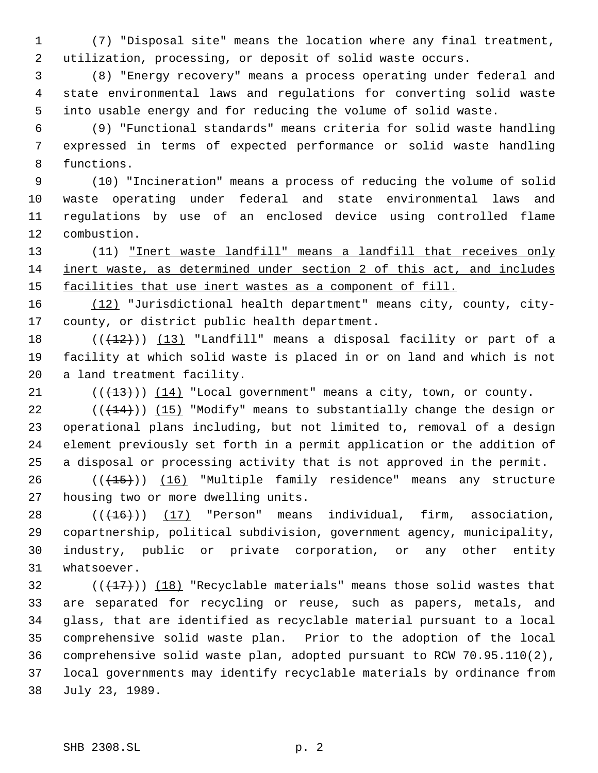(7) "Disposal site" means the location where any final treatment, utilization, processing, or deposit of solid waste occurs.

 (8) "Energy recovery" means a process operating under federal and state environmental laws and regulations for converting solid waste into usable energy and for reducing the volume of solid waste.

 (9) "Functional standards" means criteria for solid waste handling expressed in terms of expected performance or solid waste handling functions.

 (10) "Incineration" means a process of reducing the volume of solid waste operating under federal and state environmental laws and regulations by use of an enclosed device using controlled flame combustion.

 (11) "Inert waste landfill" means a landfill that receives only inert waste, as determined under section 2 of this act, and includes 15 facilities that use inert wastes as a component of fill.

 (12) "Jurisdictional health department" means city, county, city-county, or district public health department.

18  $((+12))$   $(13)$  "Landfill" means a disposal facility or part of a facility at which solid waste is placed in or on land and which is not a land treatment facility.

 $(1)$  ( $(13)$ ))  $(14)$  "Local government" means a city, town, or county.

 $((+14))$   $(15)$  "Modify" means to substantially change the design or operational plans including, but not limited to, removal of a design element previously set forth in a permit application or the addition of a disposal or processing activity that is not approved in the permit.

26 (( $\left(\frac{15}{15}\right)$ ) (16) "Multiple family residence" means any structure housing two or more dwelling units.

 $((+16))$   $(17)$  "Person" means individual, firm, association, copartnership, political subdivision, government agency, municipality, industry, public or private corporation, or any other entity whatsoever.

 $((+17))$   $(18)$  "Recyclable materials" means those solid wastes that are separated for recycling or reuse, such as papers, metals, and glass, that are identified as recyclable material pursuant to a local comprehensive solid waste plan. Prior to the adoption of the local comprehensive solid waste plan, adopted pursuant to RCW 70.95.110(2), local governments may identify recyclable materials by ordinance from July 23, 1989.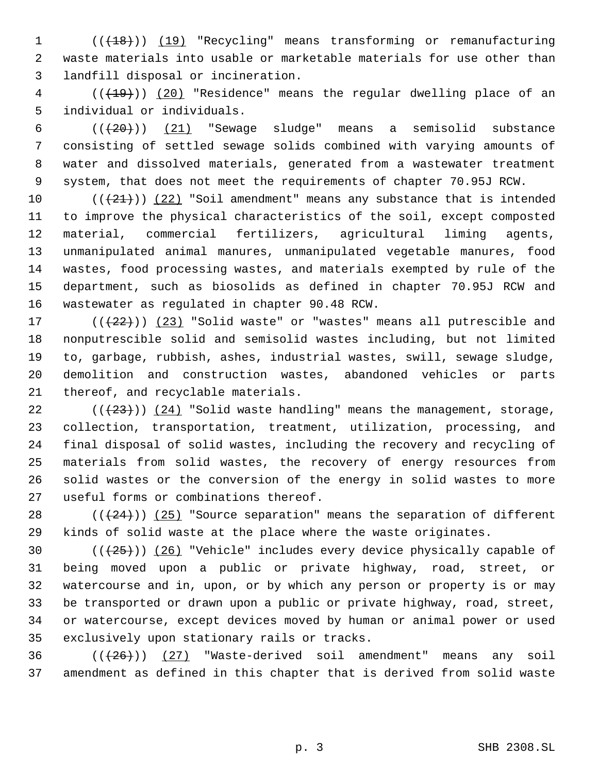1 (( $\left(\frac{18}{18}\right)$ ) (19) "Recycling" means transforming or remanufacturing waste materials into usable or marketable materials for use other than landfill disposal or incineration.

4 (( $\left(\frac{19}{19}\right)$ ) (20) "Residence" means the regular dwelling place of an individual or individuals.

 $((+20))$   $(21)$  "Sewage sludge" means a semisolid substance consisting of settled sewage solids combined with varying amounts of water and dissolved materials, generated from a wastewater treatment system, that does not meet the requirements of chapter 70.95J RCW.

 $((+21))$  (22) "Soil amendment" means any substance that is intended to improve the physical characteristics of the soil, except composted material, commercial fertilizers, agricultural liming agents, unmanipulated animal manures, unmanipulated vegetable manures, food wastes, food processing wastes, and materials exempted by rule of the department, such as biosolids as defined in chapter 70.95J RCW and wastewater as regulated in chapter 90.48 RCW.

 $((+22))$   $(23)$  "Solid waste" or "wastes" means all putrescible and nonputrescible solid and semisolid wastes including, but not limited to, garbage, rubbish, ashes, industrial wastes, swill, sewage sludge, demolition and construction wastes, abandoned vehicles or parts thereof, and recyclable materials.

 $((+23))$   $(24)$  "Solid waste handling" means the management, storage, collection, transportation, treatment, utilization, processing, and final disposal of solid wastes, including the recovery and recycling of materials from solid wastes, the recovery of energy resources from solid wastes or the conversion of the energy in solid wastes to more useful forms or combinations thereof.

28  $((+24))$   $(25)$  "Source separation" means the separation of different kinds of solid waste at the place where the waste originates.

 $((+25))$   $(26)$  "Vehicle" includes every device physically capable of being moved upon a public or private highway, road, street, or watercourse and in, upon, or by which any person or property is or may be transported or drawn upon a public or private highway, road, street, or watercourse, except devices moved by human or animal power or used exclusively upon stationary rails or tracks.

36  $((+26))$  (27) "Waste-derived soil amendment" means any soil amendment as defined in this chapter that is derived from solid waste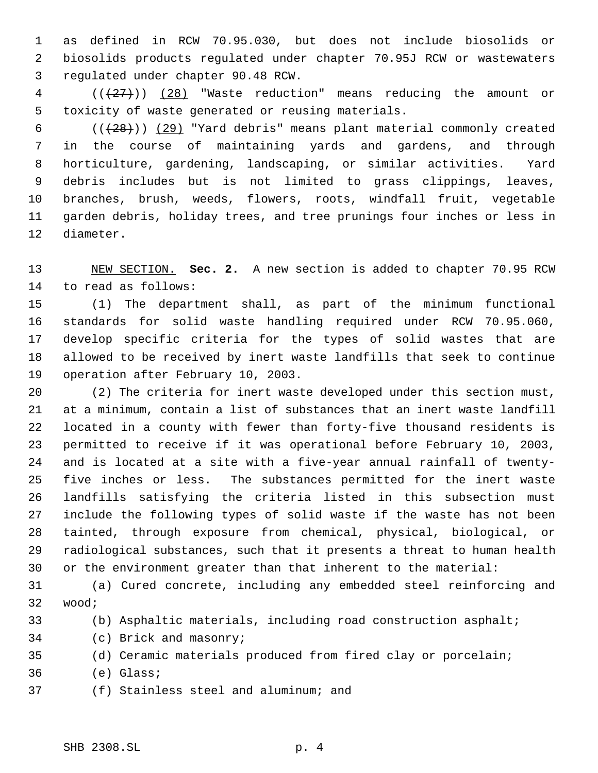as defined in RCW 70.95.030, but does not include biosolids or biosolids products regulated under chapter 70.95J RCW or wastewaters regulated under chapter 90.48 RCW.

 (((27))) (28) "Waste reduction" means reducing the amount or toxicity of waste generated or reusing materials.

 $((+28))$   $(29)$  "Yard debris" means plant material commonly created in the course of maintaining yards and gardens, and through horticulture, gardening, landscaping, or similar activities. Yard debris includes but is not limited to grass clippings, leaves, branches, brush, weeds, flowers, roots, windfall fruit, vegetable garden debris, holiday trees, and tree prunings four inches or less in diameter.

 NEW SECTION. **Sec. 2.** A new section is added to chapter 70.95 RCW to read as follows:

 (1) The department shall, as part of the minimum functional standards for solid waste handling required under RCW 70.95.060, develop specific criteria for the types of solid wastes that are allowed to be received by inert waste landfills that seek to continue operation after February 10, 2003.

 (2) The criteria for inert waste developed under this section must, at a minimum, contain a list of substances that an inert waste landfill located in a county with fewer than forty-five thousand residents is permitted to receive if it was operational before February 10, 2003, and is located at a site with a five-year annual rainfall of twenty- five inches or less. The substances permitted for the inert waste landfills satisfying the criteria listed in this subsection must include the following types of solid waste if the waste has not been tainted, through exposure from chemical, physical, biological, or radiological substances, such that it presents a threat to human health or the environment greater than that inherent to the material:

 (a) Cured concrete, including any embedded steel reinforcing and wood;

- (b) Asphaltic materials, including road construction asphalt;
- (c) Brick and masonry;

(d) Ceramic materials produced from fired clay or porcelain;

- (e) Glass;
- (f) Stainless steel and aluminum; and